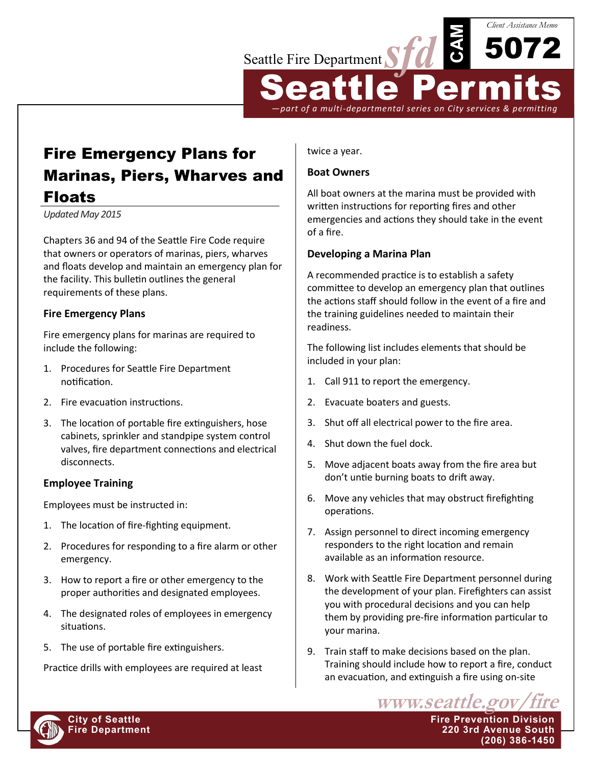

Fire Emergency Plans for Marinas, Piers, Wharves and Floats

*Updated May 2015*

Chapters 36 and 94 of the Seattle Fire Code require that owners or operators of marinas, piers, wharves and floats develop and maintain an emergency plan for the facility. This bulletin outlines the general requirements of these plans.

## **Fire Emergency Plans**

Fire emergency plans for marinas are required to include the following:

- 1. Procedures for Seattle Fire Department notification.
- 2. Fire evacuation instructions.
- 3. The location of portable fire extinguishers, hose cabinets, sprinkler and standpipe system control valves, fire department connections and electrical disconnects.

## **Employee Training**

Employees must be instructed in:

- 1. The location of fire-fighting equipment.
- 2. Procedures for responding to a fire alarm or other emergency.
- 3. How to report a fire or other emergency to the proper authorities and designated employees.
- 4. The designated roles of employees in emergency situations.
- 5. The use of portable fire extinguishers.

Practice drills with employees are required at least

twice a year.

## **Boat Owners**

All boat owners at the marina must be provided with written instructions for reporting fires and other emergencies and actions they should take in the event of a fire.

## **Developing a Marina Plan**

A recommended practice is to establish a safety committee to develop an emergency plan that outlines the actions staff should follow in the event of a fire and the training guidelines needed to maintain their readiness.

The following list includes elements that should be included in your plan:

- 1. Call 911 to report the emergency.
- 2. Evacuate boaters and guests.
- 3. Shut off all electrical power to the fire area.
- 4. Shut down the fuel dock.
- 5. Move adjacent boats away from the fire area but don't untie burning boats to drift away.
- 6. Move any vehicles that may obstruct firefighting operations.
- 7. Assign personnel to direct incoming emergency responders to the right location and remain available as an information resource.
- 8. Work with Seattle Fire Department personnel during the development of your plan. Firefighters can assist you with procedural decisions and you can help them by providing pre-fire information particular to your marina.
- 9. Train staff to make decisions based on the plan. Training should include how to report a fire, conduct an evacuation, and extinguish a fire using on-site

www.seattle.gov